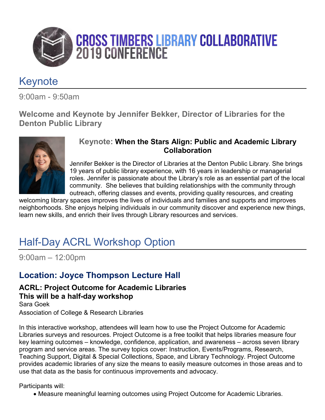

## **Keynote**

9:00am - 9:50am

**Welcome and Keynote by Jennifer Bekker, Director of Libraries for the Denton Public Library**



#### **Keynote: When the Stars Align: Public and Academic Library Collaboration**

Jennifer Bekker is the Director of Libraries at the Denton Public Library. She brings 19 years of public library experience, with 16 years in leadership or managerial roles. Jennifer is passionate about the Library's role as an essential part of the local community. She believes that building relationships with the community through outreach, offering classes and events, providing quality resources, and creating

welcoming library spaces improves the lives of individuals and families and supports and improves neighborhoods. She enjoys helping individuals in our community discover and experience new things, learn new skills, and enrich their lives through Library resources and services.

# Half-Day ACRL Workshop Option

9:00am – 12:00pm

### **Location: Joyce Thompson Lecture Hall**

#### **ACRL: Project Outcome for Academic Libraries This will be a half-day workshop** Sara Goek

Association of College & Research Libraries

In this interactive workshop, attendees will learn how to use the Project Outcome for Academic Libraries surveys and resources. Project Outcome is a free toolkit that helps libraries measure four key learning outcomes – knowledge, confidence, application, and awareness – across seven library program and service areas. The survey topics cover: Instruction, Events/Programs, Research, Teaching Support, Digital & Special Collections, Space, and Library Technology. Project Outcome provides academic libraries of any size the means to easily measure outcomes in those areas and to use that data as the basis for continuous improvements and advocacy.

Participants will:

• Measure meaningful learning outcomes using Project Outcome for Academic Libraries.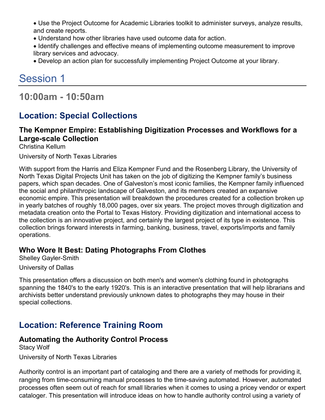• Use the Project Outcome for Academic Libraries toolkit to administer surveys, analyze results, and create reports.

- Understand how other libraries have used outcome data for action.
- Identify challenges and effective means of implementing outcome measurement to improve library services and advocacy.
- Develop an action plan for successfully implementing Project Outcome at your library.

# Session 1

**10:00am - 10:50am**

### **Location: Special Collections**

### **The Kempner Empire: Establishing Digitization Processes and Workflows for a Large-scale Collection**

Christina Kellum

University of North Texas Libraries

With support from the Harris and Eliza Kempner Fund and the Rosenberg Library, the University of North Texas Digital Projects Unit has taken on the job of digitizing the Kempner family's business papers, which span decades. One of Galveston's most iconic families, the Kempner family influenced the social and philanthropic landscape of Galveston, and its members created an expansive economic empire. This presentation will breakdown the procedures created for a collection broken up in yearly batches of roughly 18,000 pages, over six years. The project moves through digitization and metadata creation onto the Portal to Texas History. Providing digitization and international access to the collection is an innovative project, and certainly the largest project of its type in existence. This collection brings forward interests in farming, banking, business, travel, exports/imports and family operations.

#### **Who Wore It Best: Dating Photographs From Clothes**

Shelley Gayler-Smith

University of Dallas

This presentation offers a discussion on both men's and women's clothing found in photographs spanning the 1840's to the early 1920's. This is an interactive presentation that will help librarians and archivists better understand previously unknown dates to photographs they may house in their special collections.

## **Location: Reference Training Room**

### **Automating the Authority Control Process**

Stacy Wolf

University of North Texas Libraries

Authority control is an important part of cataloging and there are a variety of methods for providing it, ranging from time-consuming manual processes to the time-saving automated. However, automated processes often seem out of reach for small libraries when it comes to using a pricey vendor or expert cataloger. This presentation will introduce ideas on how to handle authority control using a variety of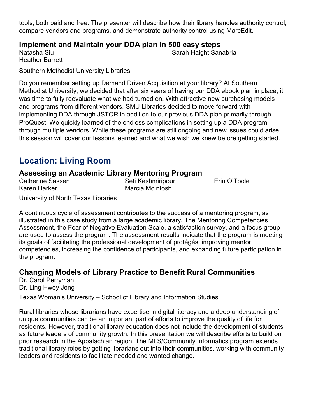tools, both paid and free. The presenter will describe how their library handles authority control, compare vendors and programs, and demonstrate authority control using MarcEdit.

#### **Implement and Maintain your DDA plan in 500 easy steps**

Natasha Siu Heather Barrett Sarah Haight Sanabria

Southern Methodist University Libraries

Do you remember setting up Demand Driven Acquisition at your library? At Southern Methodist University, we decided that after six years of having our DDA ebook plan in place, it was time to fully reevaluate what we had turned on. With attractive new purchasing models and programs from different vendors, SMU Libraries decided to move forward with implementing DDA through JSTOR in addition to our previous DDA plan primarily through ProQuest. We quickly learned of the endless complications in setting up a DDA program through multiple vendors. While these programs are still ongoing and new issues could arise, this session will cover our lessons learned and what we wish we knew before getting started.

### **Location: Living Room**

#### **Assessing an Academic Library Mentoring Program**

Catherine Sassen Karen Harker Seti Keshmiripour Marcia McIntosh

Erin O'Toole

University of North Texas Libraries

A continuous cycle of assessment contributes to the success of a mentoring program, as illustrated in this case study from a large academic library. The Mentoring Competencies Assessment, the Fear of Negative Evaluation Scale, a satisfaction survey, and a focus group are used to assess the program. The assessment results indicate that the program is meeting its goals of facilitating the professional development of protégés, improving mentor competencies, increasing the confidence of participants, and expanding future participation in the program.

#### **Changing Models of Library Practice to Benefit Rural Communities**

Dr. Carol Perryman Dr. Ling Hwey Jeng

Texas Woman's University – School of Library and Information Studies

Rural libraries whose librarians have expertise in digital literacy and a deep understanding of unique communities can be an important part of efforts to improve the quality of life for residents. However, traditional library education does not include the development of students as future leaders of community growth. In this presentation we will describe efforts to build on prior research in the Appalachian region. The MLS/Community Informatics program extends traditional library roles by getting librarians out into their communities, working with community leaders and residents to facilitate needed and wanted change.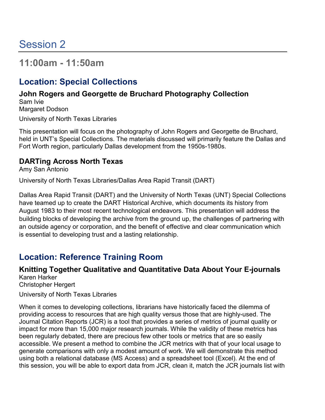## **11:00am - 11:50am**

## **Location: Special Collections**

#### **John Rogers and Georgette de Bruchard Photography Collection** Sam Ivie

Margaret Dodson University of North Texas Libraries

This presentation will focus on the photography of John Rogers and Georgette de Bruchard, held in UNT's Special Collections. The materials discussed will primarily feature the Dallas and Fort Worth region, particularly Dallas development from the 1950s-1980s.

### **DARTing Across North Texas**

Amy San Antonio

University of North Texas Libraries/Dallas Area Rapid Transit (DART)

Dallas Area Rapid Transit (DART) and the University of North Texas (UNT) Special Collections have teamed up to create the DART Historical Archive, which documents its history from August 1983 to their most recent technological endeavors. This presentation will address the building blocks of developing the archive from the ground up, the challenges of partnering with an outside agency or corporation, and the benefit of effective and clear communication which is essential to developing trust and a lasting relationship.

## **Location: Reference Training Room**

## **Knitting Together Qualitative and Quantitative Data About Your E-journals**

Karen Harker Christopher Hergert

University of North Texas Libraries

When it comes to developing collections, librarians have historically faced the dilemma of providing access to resources that are high quality versus those that are highly-used. The Journal Citation Reports (JCR) is a tool that provides a series of metrics of journal quality or impact for more than 15,000 major research journals. While the validity of these metrics has been regularly debated, there are precious few other tools or metrics that are so easily accessible. We present a method to combine the JCR metrics with that of your local usage to generate comparisons with only a modest amount of work. We will demonstrate this method using both a relational database (MS Access) and a spreadsheet tool (Excel). At the end of this session, you will be able to export data from JCR, clean it, match the JCR journals list with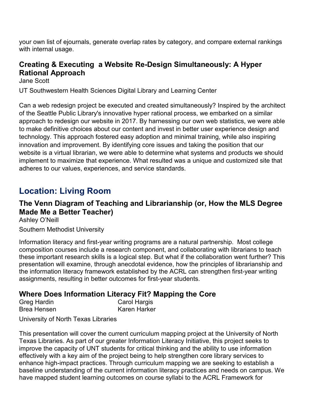your own list of ejournals, generate overlap rates by category, and compare external rankings with internal usage.

### **Creating & Executing a Website Re-Design Simultaneously: A Hyper Rational Approach**

Jane Scott

UT Southwestern Health Sciences Digital Library and Learning Center

Can a web redesign project be executed and created simultaneously? Inspired by the architect of the Seattle Public Library's innovative hyper rational process, we embarked on a similar approach to redesign our website in 2017. By harnessing our own web statistics, we were able to make definitive choices about our content and invest in better user experience design and technology. This approach fostered easy adoption and minimal training, while also inspiring innovation and improvement. By identifying core issues and taking the position that our website is a virtual librarian, we were able to determine what systems and products we should implement to maximize that experience. What resulted was a unique and customized site that adheres to our values, experiences, and service standards.

### **Location: Living Room**

### **The Venn Diagram of Teaching and Librarianship (or, How the MLS Degree Made Me a Better Teacher)**

Ashley O'Neill

#### Southern Methodist University

Information literacy and first-year writing programs are a natural partnership. Most college composition courses include a research component, and collaborating with librarians to teach these important research skills is a logical step. But what if the collaboration went further? This presentation will examine, through anecdotal evidence, how the principles of librarianship and the information literacy framework established by the ACRL can strengthen first-year writing assignments, resulting in better outcomes for first-year students.

### **Where Does Information Literacy Fit? Mapping the Core**

| <b>Greg Hardin</b> | <b>Carol Hargis</b> |
|--------------------|---------------------|
| Brea Hensen        | Karen Harker        |

University of North Texas Libraries

This presentation will cover the current curriculum mapping project at the University of North Texas Libraries. As part of our greater Information Literacy Initiative, this project seeks to improve the capacity of UNT students for critical thinking and the ability to use information effectively with a key aim of the project being to help strengthen core library services to enhance high-impact practices. Through curriculum mapping we are seeking to establish a baseline understanding of the current information literacy practices and needs on campus. We have mapped student learning outcomes on course syllabi to the ACRL Framework for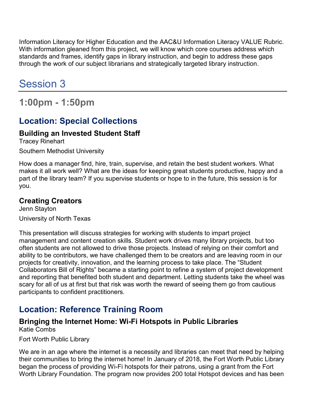Information Literacy for Higher Education and the AAC&U Information Literacy VALUE Rubric. With information gleaned from this project, we will know which core courses address which standards and frames, identify gaps in library instruction, and begin to address these gaps through the work of our subject librarians and strategically targeted library instruction.

# Session 3

**1:00pm - 1:50pm**

## **Location: Special Collections**

### **Building an Invested Student Staff**

Tracey Rinehart

Southern Methodist University

How does a manager find, hire, train, supervise, and retain the best student workers. What makes it all work well? What are the ideas for keeping great students productive, happy and a part of the library team? If you supervise students or hope to in the future, this session is for you.

### **Creating Creators**

Jenn Stayton University of North Texas

This presentation will discuss strategies for working with students to impart project management and content creation skills. Student work drives many library projects, but too often students are not allowed to drive those projects. Instead of relying on their comfort and ability to be contributors, we have challenged them to be creators and are leaving room in our projects for creativity, innovation, and the learning process to take place. The "Student Collaborators Bill of Rights" became a starting point to refine a system of project development and reporting that benefited both student and department. Letting students take the wheel was scary for all of us at first but that risk was worth the reward of seeing them go from cautious participants to confident practitioners.

## **Location: Reference Training Room**

#### **Bringing the Internet Home: Wi-Fi Hotspots in Public Libraries** Katie Combs

Fort Worth Public Library

We are in an age where the internet is a necessity and libraries can meet that need by helping their communities to bring the internet home! In January of 2018, the Fort Worth Public Library began the process of providing Wi-Fi hotspots for their patrons, using a grant from the Fort Worth Library Foundation. The program now provides 200 total Hotspot devices and has been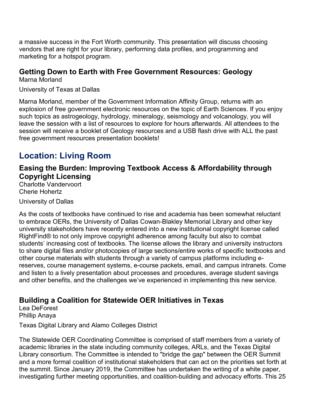a massive success in the Fort Worth community. This presentation will discuss choosing vendors that are right for your library, performing data profiles, and programming and marketing for a hotspot program.

#### **Getting Down to Earth with Free Government Resources: Geology**

Marna Morland

University of Texas at Dallas

Marna Morland, member of the Government Information Affinity Group, returns with an explosion of free government electronic resources on the topic of Earth Sciences. If you enjoy such topics as astrogeology, hydrology, mineralogy, seismology and volcanology, you will leave the session with a list of resources to explore for hours afterwards. All attendees to the session will receive a booklet of Geology resources and a USB flash drive with ALL the past free government resources presentation booklets!

### **Location: Living Room**

**Easing the Burden: Improving Textbook Access & Affordability through Copyright Licensing**

Charlotte Vandervoort Cherie Hohertz

University of Dallas

As the costs of textbooks have continued to rise and academia has been somewhat reluctant to embrace OERs, the University of Dallas Cowan-Blakley Memorial Library and other key university stakeholders have recently entered into a new institutional copyright license called RightFind® to not only improve copyright adherence among faculty but also to combat students' increasing cost of textbooks. The license allows the library and university instructors to share digital files and/or photocopies of large sections/entire works of specific textbooks and other course materials with students through a variety of campus platforms including ereserves, course management systems, e-course packets, email, and campus intranets. Come and listen to a lively presentation about processes and procedures, average student savings and other benefits, and the challenges we've experienced in implementing this new service.

### **Building a Coalition for Statewide OER Initiatives in Texas**

Lea DeForest Phillip Anaya

Texas Digital Library and Alamo Colleges District

The Statewide OER Coordinating Committee is comprised of staff members from a variety of academic libraries in the state including community colleges, ARLs, and the Texas Digital Library consortium. The Committee is intended to "bridge the gap" between the OER Summit and a more formal coalition of institutional stakeholders that can act on the priorities set forth at the summit. Since January 2019, the Committee has undertaken the writing of a white paper, investigating further meeting opportunities, and coalition-building and advocacy efforts. This 25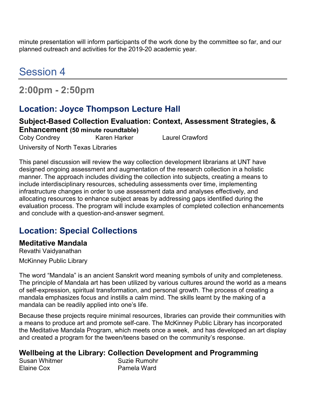minute presentation will inform participants of the work done by the committee so far, and our planned outreach and activities for the 2019-20 academic year.

# Session 4

# **2:00pm - 2:50pm**

### **Location: Joyce Thompson Lecture Hall**

#### **Subject-Based Collection Evaluation: Context, Assessment Strategies, & Enhancement (50 minute roundtable)**

Coby Condrey Karen Harker Laurel Crawford

University of North Texas Libraries

This panel discussion will review the way collection development librarians at UNT have designed ongoing assessment and augmentation of the research collection in a holistic manner. The approach includes dividing the collection into subjects, creating a means to include interdisciplinary resources, scheduling assessments over time, implementing infrastructure changes in order to use assessment data and analyses effectively, and allocating resources to enhance subject areas by addressing gaps identified during the evaluation process. The program will include examples of completed collection enhancements and conclude with a question-and-answer segment.

### **Location: Special Collections**

### **Meditative Mandala**

Revathi Vaidyanathan McKinney Public Library

The word "Mandala" is an ancient Sanskrit word meaning symbols of unity and completeness. The principle of Mandala art has been utilized by various cultures around the world as a means of self-expression, spiritual transformation, and personal growth. The process of creating a mandala emphasizes focus and instills a calm mind. The skills learnt by the making of a mandala can be readily applied into one's life.

Because these projects require minimal resources, libraries can provide their communities with a means to produce art and promote self-care. The McKinney Public Library has incorporated the Meditative Mandala Program, which meets once a week, and has developed an art display and created a program for the tween/teens based on the community's response.

#### **Wellbeing at the Library: Collection Development and Programming**

Susan Whitmer Elaine Cox

Suzie Rumohr Pamela Ward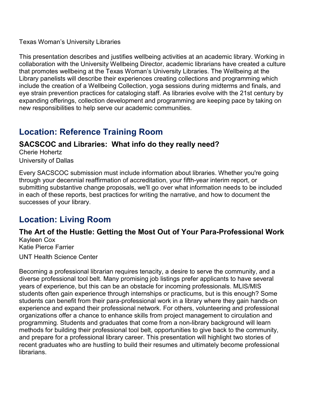Texas Woman's University Libraries

This presentation describes and justifies wellbeing activities at an academic library. Working in collaboration with the University Wellbeing Director, academic librarians have created a culture that promotes wellbeing at the Texas Woman's University Libraries. The Wellbeing at the Library panelists will describe their experiences creating collections and programming which include the creation of a Wellbeing Collection, yoga sessions during midterms and finals, and eye strain prevention practices for cataloging staff. As libraries evolve with the 21st century by expanding offerings, collection development and programming are keeping pace by taking on new responsibilities to help serve our academic communities.

### **Location: Reference Training Room**

### **SACSCOC and Libraries: What info do they really need?**

Cherie Hohertz University of Dallas

Every SACSCOC submission must include information about libraries. Whether you're going through your decennial reaffirmation of accreditation, your fifth-year interim report, or submitting substantive change proposals, we'll go over what information needs to be included in each of these reports, best practices for writing the narrative, and how to document the successes of your library.

### **Location: Living Room**

#### **The Art of the Hustle: Getting the Most Out of Your Para-Professional Work** Kayleen Cox

Katie Pierce Farrier

UNT Health Science Center

Becoming a professional librarian requires tenacity, a desire to serve the community, and a diverse professional tool belt. Many promising job listings prefer applicants to have several years of experience, but this can be an obstacle for incoming professionals. MLIS/MIS students often gain experience through internships or practicums, but is this enough? Some students can benefit from their para-professional work in a library where they gain hands-on experience and expand their professional network. For others, volunteering and professional organizations offer a chance to enhance skills from project management to circulation and programming. Students and graduates that come from a non-library background will learn methods for building their professional tool belt, opportunities to give back to the community, and prepare for a professional library career. This presentation will highlight two stories of recent graduates who are hustling to build their resumes and ultimately become professional librarians.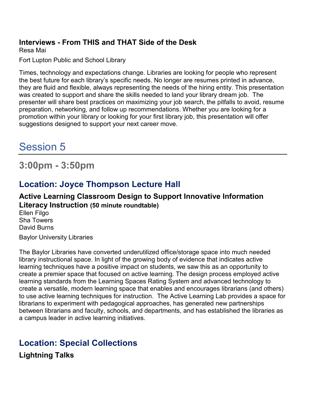#### **Interviews - From THIS and THAT Side of the Desk**

Resa Mai

Fort Lupton Public and School Library

Times, technology and expectations change. Libraries are looking for people who represent the best future for each library's specific needs. No longer are resumes printed in advance, they are fluid and flexible, always representing the needs of the hiring entity. This presentation was created to support and share the skills needed to land your library dream job. The presenter will share best practices on maximizing your job search, the pitfalls to avoid, resume preparation, networking, and follow up recommendations. Whether you are looking for a promotion within your library or looking for your first library job, this presentation will offer suggestions designed to support your next career move.

# Session 5

**3:00pm - 3:50pm**

### **Location: Joyce Thompson Lecture Hall**

#### **Active Learning Classroom Design to Support Innovative Information Literacy Instruction (50 minute roundtable)**

Ellen Filgo Sha Towers David Burns

Baylor University Libraries

The Baylor Libraries have converted underutilized office/storage space into much needed library instructional space. In light of the growing body of evidence that indicates active learning techniques have a positive impact on students, we saw this as an opportunity to create a premier space that focused on active learning. The design process employed active learning standards from the Learning Spaces Rating System and advanced technology to create a versatile, modern learning space that enables and encourages librarians (and others) to use active learning techniques for instruction. The Active Learning Lab provides a space for librarians to experiment with pedagogical approaches, has generated new partnerships between librarians and faculty, schools, and departments, and has established the libraries as a campus leader in active learning initiatives.

### **Location: Special Collections**

**Lightning Talks**